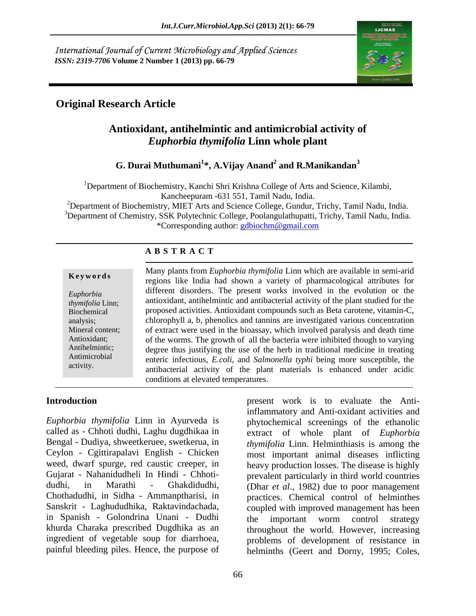International Journal of Current Microbiology and Applied Sciences *ISSN: 2319-7706* **Volume 2 Number 1 (2013) pp. 66-79**



## **Original Research Article**

### **Antioxidant, antihelmintic and antimicrobial activity of**  *Euphorbia thymifolia* **Linn whole plant**

#### **G. Durai Muthumani<sup>1</sup> \*, A.Vijay Anand<sup>2</sup> and R.Manikandan<sup>3</sup>**

<sup>1</sup>Department of Biochemistry, Kanchi Shri Krishna College of Arts and Science, Kilambi, Kancheepuram -631 551, Tamil Nadu, India.

<sup>2</sup>Department of Biochemistry, MIET Arts and Science College, Gundur, Trichy, Tamil Nadu, India. <sup>3</sup>Department of Chemistry, SSK Polytechnic College, Poolangulathupatti, Trichy, Tamil Nadu, India. \*Corresponding author: gdbiochm@gmail.com

#### **A B S T R A C T**

**Keywords**<br>
regions like India had shown a variety of pharmacological attributes for *Euphorbia*  different disorders. The present works involved in the evolution or the *thymifolia* Linn; antioxidant, antihelmintic and antibacterial activity of the plant studied for the Biochemical proposed activities. Antioxidant compounds such as Beta carotene, vitamin-C, analysis; chlorophyll a, b, phenolics and tannins are investigated various concentration Mineral content; of extract were used in the bioassay, which involved paralysis and death time Antioxidant; of the worms. The growth of all the bacteria were inhibited though to varying Antihelmintic; degree thus justifying the use of the herb in traditional medicine in treating Antimicrobial enteric infectious, *E.coli,* and *Salmonella typhi* being more susceptible, the **Euphorbia** Many plants from *Euphorbia thymifolia* Linn which are available in semi-arid regions like India had shown a variety of pharmacological attributes for different disorders. The present works involved in the evol antibacterial activity of the plant materials is enhanced under acidic conditions at elevated temperatures.

#### **Introduction present** work is to evaluate the Anti-

*Euphorbia thymifolia* Linn in Ayurveda is called as - Chhoti dudhi, Laghu dugdhikaa in extract of whole plant of *Euphorbia*  Bengal - Dudiya, shweetkeruee, swetkerua, in *thymifolia* Linn. Helminthiasis is among the Ceylon - Cgittirapalavi English - Chicken most important animal diseases inflicting weed, dwarf spurge, red caustic creeper, in heavy production losses. The disease is highly Gujarat - Nahanidudheli In Hindi - Chhoti- prevalent particularly in third world countries dudhi, in Marathi - Ghakdidudhi, (Dhar *et al*., 1982) due to poor management Chothadudhi, in Sidha - Ammanptharisi, in practices. Chemical control of helminthes Sanskrit - Laghududhika, Raktavindachada, in Spanish - Golondrina Unani - Dudhi khurda Charaka prescribed Dugdhika as an throughout the world. However, increasing ingredient of vegetable soup for diarrhoea,

painful bleeding piles. Hence, the purpose of helminths (Geert and Dorny, 1995; Coles, inflammatory and Anti-oxidant activities and phytochemical screenings of the ethanolic coupled with improved management has been the important worm control strategy problems of development of resistance in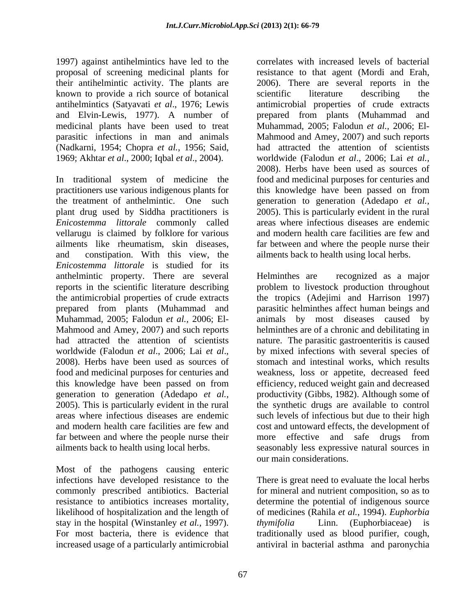1997) against antihelmintics have led to the proposal of screening medicinal plants for their antihelmintic activity. The plants are known to provide a rich source of botanical (Nadkarni, 1954; Chopra *et al.,* 1956; Said, 1969; Akhtar *et al*., 2000; Iqbal *et al*., 2004).

the treatment of anthelmintic. One such *Enicostemma littorale* commonly called vellarugu is claimed by folklore for various and modern health care facilities are few and and constipation. With this view, the *Enicostemma littorale* is studied for its anthelmintic property. There are several far between and where the people nurse their

Most of the pathogens causing enteric commonly prescribed antibiotics. Bacterial resistance to antibiotics increases mortality, stay in the hospital (Winstanley *et al.*, 1997). *thymifolia* Linn. (Euphorbiaceae) is

antihelmintics (Satyavati *et al*., 1976; Lewis antimicrobial properties of crude extracts and Elvin-Lewis, 1977). A number of prepared from plants (Muhammad and medicinal plants have been used to treat Muhammad, 2005; Falodun *et al.,* 2006; El parasitic infections in man and animals Mahmood and Amey, 2007) and such reports In traditional system of medicine the food and medicinal purposes for centuries and practitioners use various indigenous plants for this knowledge have been passed on from plant drug used by Siddha practitioners is 2005). This is particularly evident in the rural ailments like rheumatism, skin diseases, far between and where the people nurse their correlates with increased levels of bacterial resistance to that agent (Mordi and Erah, 2006). There are several reports in the scientific literature describing the had attracted the attention of scientists worldwide (Falodun *et al*., 2006; Lai *et al.,* 2008). Herbs have been used as sources of generation to generation (Adedapo *et al.,* areas where infectious diseases are endemic and modern health care facilities are few and ailments back to health using local herbs.

reports in the scientific literature describing problem to livestock production throughout the antimicrobial properties of crude extracts the tropics (Adejimi and Harrison 1997) prepared from plants (Muhammad and parasitic helminthes affect human beings and Muhammad, 2005; Falodun *et al.,* 2006; El- animals by most diseases caused by Mahmood and Amey, 2007) and such reports helminthes are of a chronic and debilitating in had attracted the attention of scientists nature. The parasitic gastroenteritis is caused worldwide (Falodun *et al.*, 2006; Lai *et al.*, 2008). Herbs have been used as sources of the stomach and intestinal works, which results food and medicinal purposes for centuries and weakness, loss or appetite, decreased feed this knowledge have been passed on from efficiency, reduced weight gain and decreased generation to generation (Adedapo *et al.,* productivity (Gibbs, 1982). Although some of 2005). This is particularly evident in the rural the synthetic drugs are available to control areas where infectious diseases are endemic such levels of infectious but due to their high and modern health care facilities are few and cost and untoward effects, the development of ailments back to health using local herbs. seasonably less expressive natural sources in Helminthes are recognized as a major by mixed infections with several species of stomach and intestinal works, which results more effective and safe drugs from our main considerations.

infections have developed resistance to the There isgreat need to evaluate the local herbs likelihood of hospitalization and the length of of medicines (Rahila *et al.*, 1994). *Euphorbia* For most bacteria, there is evidence that traditionally used as blood purifier, cough, increased usage of a particularly antimicrobial antiviral in bacterial asthma and paronychiafor mineral and nutrient composition, so as to determine the potential of indigenous source *thymifolia* Linn. (Euphorbiaceae) is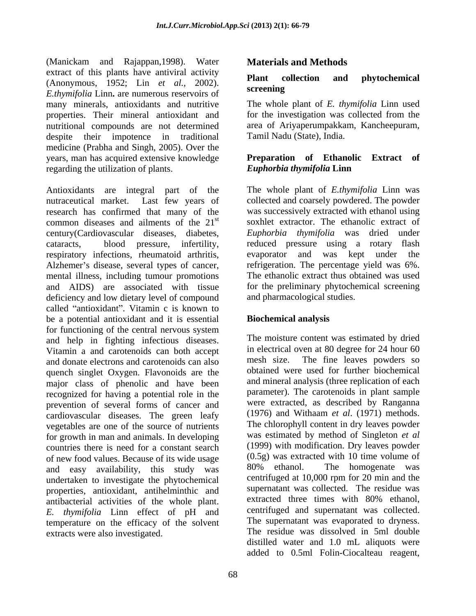(Manickam and Rajappan,1998). Water extract of this plants have antiviral activity<br>  $\frac{1050}{1000}$  Plant collection and phytochemical (Anonymous, 1952; Lin *et al.,* 2002). *E.thymifolia* Linn**.** are numerous reservoirs of many minerals, antioxidants and nutritive properties. Their mineral antioxidant and nutritional compounds are not determined despite their impotence in traditional Tamil Nadu (State), India. medicine (Prabha and Singh, 2005). Over the years, man has acquired extensive knowledge **Preparation of Ethanolic Extract of** regarding the utilization of plants.

Antioxidants are integral part of the The whole plant of *E.thymifolia* Linn was nutraceutical market. Last few years of collected and coarsely powdered. The powder research has confirmed that many of the was successively extracted with ethanol using common diseases and ailments of the 21<sup>st</sup> century(Cardiovascular diseases, diabetes, cataracts, blood pressure, infertility, reduced pressure using a rotary flash respiratory infections, rheumatoid arthritis, evaporator and was kept under the Alzhemer's disease, several types of cancer, mental illness, including tumour promotions and AIDS) are associated with tissue deficiency and low dietary level of compound called "antioxidant". Vitamin c is known to be a potential antioxidant and it is essential for functioning of the central nervous system and help in fighting infectious diseases. Vitamin a and carotenoids can both accept in electrical<br>and donate electrons and carotenoids can also mesh size. and donate electrons and carotenoids can also quench singlet Oxygen. Flavonoids are the major class of phenolic and have been recognized for having a potential role in the prevention of several forms of cancer and cardiovascular diseases. The green leafy vegetables are one of the source of nutrients for growth in man and animals. In developing countries there is need for a constant search of new food values. Because of its wide usage  $(0.5g)$  was extracted with 10 time volume of and easy availability this study was  $80\%$  ethanol. The homogenate was and easy availability, this study was undertaken to investigate the phytochemical properties, antioxidant, antihelminthic and<br>antibacterial activities of the whole plant extracted three times with 80% ethanol, antibacterial activities of the whole plant. extracted three times with 80% ethanol,<br>F thymifolia I inn effect of pH and centrifuged and supernatant was collected. *E. thymifolia* Linn effect of pH and temperature on the efficacy of the solvent extracts were also investigated.

### **Materials and Methods**

#### **Plant collection and phytochemical screening**

The whole plant of *E. thymifolia* Linn used for the investigation was collected from the area of Ariyaperumpakkam, Kancheepuram, Tamil Nadu (State), India.

#### **Preparation of Ethanolic Extract** *Euphorbia thymifolia* **Linn**

st soxhlet extractor. The ethanolic extract of *Euphorbia thymifolia* was dried under evaporator and was kept under the refrigeration. The percentage yield was 6%. The ethanolic extract thus obtained was used for the preliminary phytochemical screening and pharmacological studies.

### **Biochemical analysis**

The moisture content was estimated by dried in electrical oven at 80 degree for 24 hour 60 The fine leaves powders so obtained were used for further biochemical and mineral analysis (three replication of each parameter). The carotenoids in plant sample were extracted, as described by Ranganna (1976) and Withaam *et al*. (1971) methods. The chlorophyll content in dry leaves powder was estimated by method of Singleton *et al* (1999) with modification. Dry leaves powder (0.5g) was extracted with 10 time volume of 80% ethanol. The homogenate was centrifuged at 10,000 rpm for 20 min and the supernatant was collected. The residue was extracted three times with 80% ethanol, centrifuged and supernatant was collected. The supernatant was evaporated to dryness. The residue was dissolved in 5ml double distilled water and 1.0 mL aliquots were added to 0.5ml Folin-Ciocalteau reagent,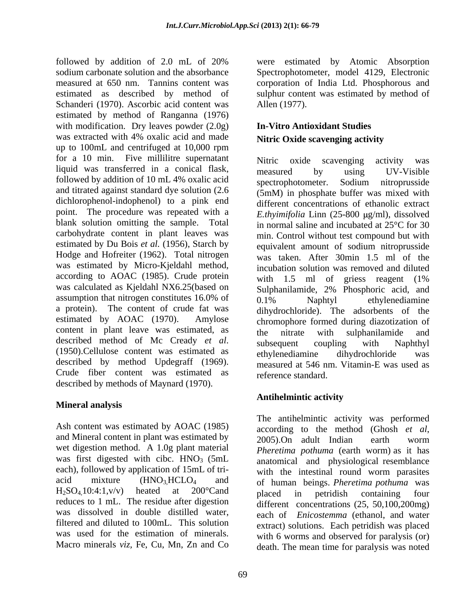followed by addition of 2.0 mL of 20% were estimated by Atomic Absorption sodium carbonate solution and the absorbance Spectrophotometer, model 4129, Electronic measured at 650 nm. Tannins content was corporation of India Ltd. Phosphorous and estimated as described by method of sulphur content was estimated by method of Schanderi (1970). Ascorbic acid content was Allen (1977). estimated by method of Ranganna (1976) with modification. Dry leaves powder  $(2.0g)$ was extracted with 4% oxalic acid and made up to 100mL and centrifuged at 10,000 rpm for a 10 min. Five millilitre supernatant Nitric oxide scavenging activity was liquid was transferred in a conical flask, measured by using UV-Visible followed by addition of 10 mL 4% oxalic acid spectrophotometer. Sodium nitroprusside dichlorophenol-indophenol) to a pink end point. The procedure was repeated with a blank solution omitting the sample. Total carbohydrate content in plant leaves was estimated by Du Bois *et al.* (1956), Starch by Hodge and Hofreiter (1962). Total nitrogen was estimated by Micro-Kjeldahl method, according to AOAC (1985). Crude protein was calculated as Kjeldahl NX6.25(based on assumption that nitrogen constitutes  $16.0\%$  of  $0.1\%$  Naphtyl ethylenediamine a protein). The content of crude fat was content in plant leave was estimated, as the nitrate with sulphanilamide and described by method Updegraff (1969). Crude fiber content was estimated as described by methods of Maynard (1970).

### **Mineral analysis**

Ash content was estimated by AOAC (1985) according to the method (Ghosh et al. and Mineral content in plant was estimated by  $2005$ . On adult Indian earth worm wet digestion method. A 1.0g plant material was first digested with cibc.  $HNO<sub>3</sub>$  (5mL) each), followed by application of 15mL of tri reduces to 1 mL. The residue after digestion was dissolved in double distilled water, filtered and diluted to 100mL. This solution

Allen (1977).

## **In-Vitro Antioxidant Studies Nitric Oxide scavenging activity**

and titrated against standard dye solution (2.6 (5mM) in phosphate buffer was mixed with estimated by AOAC (1970). Amylose chromophore formed during diazotization of described method of Mc Cready *et al*.<br>(1950).Cellulose content was estimated as <br>ethylenediamine dihydrochloride was Nitric oxide scavenging activity was measured by using UV-Visible spectrophotometer. Sodium nitroprusside different concentrations of ethanolic extract *E.thyimifolia* Linn (25-800 µg/ml), dissolved in normal saline and incubated at 25°C for 30 min. Control without test compound but with equivalent amount of sodium nitroprusside was taken. After 30min 1.5 ml of the incubation solution was removed and diluted with 1.5 ml of griess reagent  $(1\%$ Sulphanilamide, 2% Phosphoric acid, and 0.1% Naphtyl ethylenediamine dihydrochloride). The adsorbents of the the nitrate with sulphanilamide and subsequent coupling with Naphthyl ethylenediamine dihydrochloride was measured at 546 nm. Vitamin-E was used as reference standard.

### **Antihelmintic activity**

acid mixture (HNO<sub>3</sub>,HCLO<sub>4</sub> and of human beings. *Pheretima pothuma* was  $H_2SO_4,10:4:1,\nu/\nu$  heated at 200°Cand placed in petridish containing four was used for the estimation of minerals. with 6 worms and observed for paralysis (or) Macro minerals *viz*, Fe, Cu, Mn, Zn and Co death. The mean time for paralysis was noted The antihelmintic activity was performed according to the method (Ghosh *et al*, 2005).On adult Indian earth worm *Pheretima pothuma* (earth worm) as it has anatomical and physiological resemblance with the intestinal round worm parasites placed in petridish containing four different concentrations (25, 50,100,200mg) each of *Enicostemma* (ethanol, and water extract) solutions. Each petridish was placed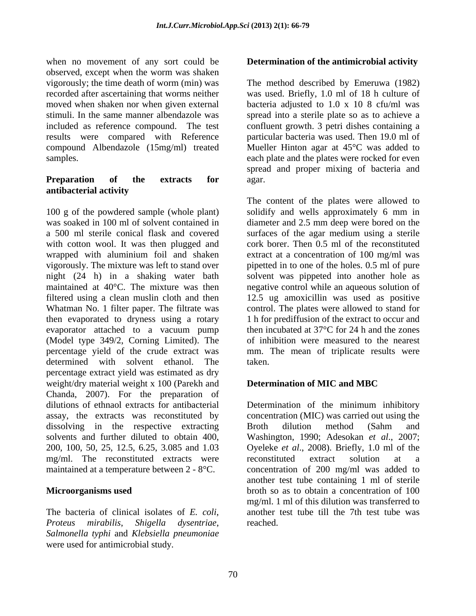when no movement of any sort could be **Determination of the antimicrobial activity** observed, except when the worm was shaken vigorously; the time death of worm (min) was The method described by Emeruwa (1982) recorded after ascertaining that worms neither was used. Briefly, 1.0 ml of 18 h culture of moved when shaken nor when given external bacteria adjusted to 1.0 x 10 8 cfu/ml was stimuli. In the same manner albendazole was spread into a sterile plate so as to achieve a included as reference compound. The test confluent growth. 3 petri dishes containing a results were compared with Reference compound Albendazole (15mg/ml) treated Mueller Hinton agar at 45°C was added to

# **antibacterial activity**

100 g of the powdered sample (whole plant) solidify and wells approximately 6 mm in was soaked in 100 ml of solvent contained in diameter and 2.5 mm deep were bored on the a 500 ml sterile conical flask and covered surfaces of the agar medium using a sterile with cotton wool. It was then plugged and wrapped with aluminium foil and shaken vigorously. The mixture was left to stand over pipetted in to one of the holes. 0.5 ml of pure night (24 h) in a shaking water bath solvent was pippeted into another hole as maintained at 40<sup>o</sup>C. The mixture was then a negative control while an aqueous solution of filtered using a clean muslin cloth and then 12.5 ug amoxicillin was used as positive Whatman No. 1 filter paper. The filtrate was control. The plates were allowed to stand for then evaporated to dryness using a rotary evaporator attached to a vacuum pump (Model type 349/2, Corning Limited). The percentage yield of the crude extract was mm. The mean of triplicate results were determined with solvent ethanol. The taken. percentage extract yield was estimated as dry weight/dry material weight x 100 (Parekh and **Determination of MIC and MBC** Chanda, 2007). For the preparation of dilutions of ethnaol extracts for antibacterial Determination of the minimum inhibitory assay, the extracts was reconstituted by dissolving in the respective extracting Broth dilution method (Sahm and solvents and further diluted to obtain 400, Washington, 1990; Adesokan *et al*., 2007; 200, 100, 50, 25, 12.5, 6.25, 3.085 and 1.03 Oyeleke *et al*., 2008). Briefly, 1.0 ml of the mg/ml. The reconstituted extracts were reconstituted extract solution at a maintained at a temperature between 2 - 8°C. concentration of 200 mg/ml was added to where no measure of any ord-control in the antimicrobial activity<br>observed, except when the worm was shaken<br> $\sim$  positive and of studying the measurement of any measurement of the antimicrobial studying the measurement of

*Proteus mirabilis*, *Shigella dysentriae*, *Salmonella typhi* and *Klebsiella pneumoniae*

samples. each plate and the plates were rocked for even **Preparation of the extracts for** particular bacteria was used. Then 19.0 ml of spread and proper mixing of bacteria and agar.

> The content of the plates were allowed to cork borer. Then 0.5 ml of the reconstituted extract at a concentration of 100 mg/ml was 1 h for prediffusion of the extract to occur and then incubated at 37°C for 24 h and the zones of inhibition were measured to the nearest taken.

### **Determination of MIC and MBC**

**Microorganisms used** broth so as to obtain a concentration of 100 The bacteria of clinical isolates of *E. coli*, another test tube till the 7th test tube was concentration (MIC) was carried out using the Broth dilution method (Sahm and reconstituted extract solution at a another test tube containing 1 ml of sterile mg/ml. 1 ml of this dilution was transferred to reached.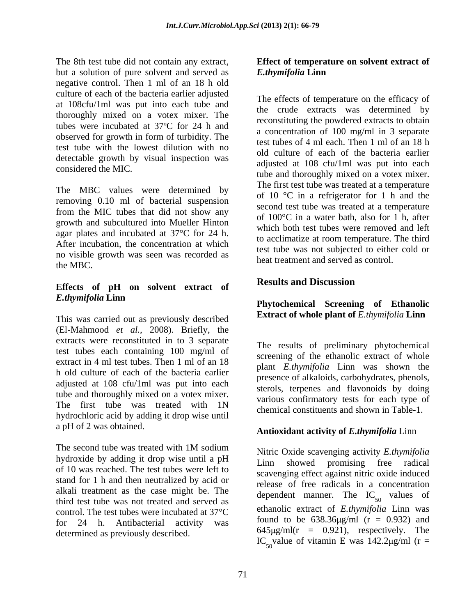The 8th test tube did not contain any extract, **Effect of temperature on solvent extract of** but a solution of pure solvent and served as **E**thymifolia Linn negative control. Then 1 ml of an 18 h old culture of each of the bacteria earlier adjusted at 108cfu/1ml was put into each tube and thoroughly mixed on a votex mixer. The tubes were incubated at 37ºC for 24 h and observed for growth in form of turbidity. The test tube with the lowest dilution with no detectable growth by visual inspection was

The MBC values were determined by removing 0.10 ml of bacterial suspension from the MIC tubes that did not show any growth and subcultured into Mueller Hinton agar plates and incubated at 37°C for 24 h. After incubation, the concentration at which no visible growth was seen was recorded as the MBC.

## **Effects of pH on solvent extract of** *E.thymifolia* **Linn**

This was carried out as previously described (El-Mahmood *et al.,* 2008). Briefly, the extracts were reconstituted in to 3 separate test tubes each containing 100 mg/ml of extract in 4 ml test tubes. Then 1 ml of an 18 h old culture of each of the bacteria earlier adjusted at 108 cfu/1ml was put into each tube and thoroughly mixed on a votex mixer. The first tube was treated with 1N hydrochloric acid by adding it drop wise until a pH of 2 was obtained.

The second tube was treated with  $1M$  sodium<br>Nitric Oxide scavenging activity  $E$  thymifolia hydroxide by adding it drop wise until a pH<br>Linn showed promising free radical of 10 was reached. The test tubes were left to stand for 1 h and then neutralized by acid or alkali treatment as the case might be. The third test tube was not treated and served as control. The test tubes were incubated at 37°C for 24 h. Antibacterial activity was determined as previously described.

# *E.thymifolia* **Linn**

considered the MIC.<br>tube and thoroughly mixed on a votex mixer. The effects of temperature on the efficacy of the crude extracts was determined by reconstituting the powdered extracts to obtain a concentration of 100 mg/ml in 3 separate test tubes of 4 ml each. Then 1 ml of an 18 h old culture of each of the bacteria earlier adjusted at 108 cfu/1ml was put into each The first test tube was treated at a temperature of 10 °C in a refrigerator for 1 h and the second test tube was treated at a temperature of 100°C in a water bath, also for 1 h, after which both test tubes were removed and left to acclimatize at room temperature. The third test tube was not subjected to either cold or heat treatment and served as control.

### **Results and Discussion**

#### **Phytochemical Screening of Ethanolic Extract of whole plant of** *E.thymifolia* **Linn**

The results of preliminary phytochemical screening of the ethanolic extract of whole plant *E.thymifolia* Linn was shown the presence of alkaloids, carbohydrates, phenols, sterols, terpenes and flavonoids by doing various confirmatory tests for each type of chemical constituents and shown in Table-1.

### **Antioxidant activity of** *E.thymifolia* Linn

Nitric Oxide scavenging activity *E.thymifolia* Linn showed promising free radical scavenging effect against nitric oxide induced release of free radicals in a concentration dependent manner. The  $IC_{50}$  values of ethanolic extract of *E.thymifolia* Linn was found to be  $638.36 \mu\text{g/ml}$  (r = 0.932) and  $645 \mu g/ml(r = 0.921)$ , respectively. The IC<sub>50</sub> value of vitamin E was  $142.2 \mu g/ml$  (r =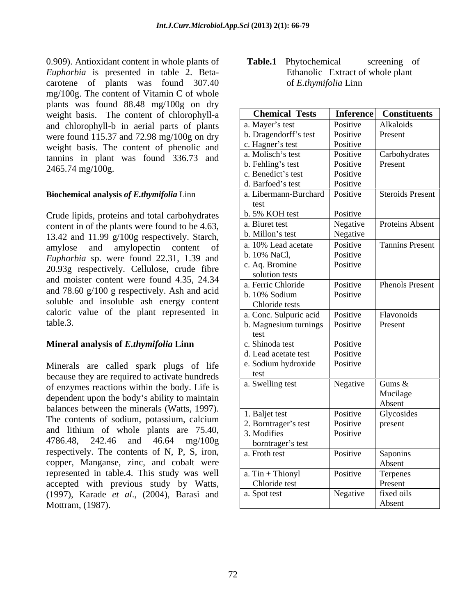0.909). Antioxidant content in whole plants of Table.1 Phytochemical screening of *Euphorbia* is presented in table 2. Beta carotene of plants was found 307.40 of *E.thymifolia* Linn mg/100g. The content of Vitamin C of whole plants was found 88.48 mg/100g on dry weight basis. The content of chlorophyll-a and chlorophyll-b in aerial parts of plants were found 115.37 and 72.98 mg/100g on dry weight basis. The content of phenolic and tannins in plant was found 336.73 and 2465.74 mg/100g.

#### **Biochemical analysis** *of E.thymifolia* Linn

#### **Mineral analysis of** *E.thymifolia* **Linn**

**Table.1** Phytochemical screening of Ethanolic Extract of whole plant of *E.thymifolia* Linn

| weight basis. The content of chlorophyll-a       | <b>Chemical Tests</b>         | <b>Inference</b> | <b>Constituents</b>     |
|--------------------------------------------------|-------------------------------|------------------|-------------------------|
| and chlorophyll-b in aerial parts of plants      | a. Mayer's test               | Positive         | Alkaloids               |
| were found 115.37 and 72.98 mg/100g on dry       | b. Dragendorff's test         | Positive         | Present                 |
| weight basis. The content of phenolic and        | c. Hagner's test              | Positive         |                         |
| tannins in plant was found 336.73 and            | a. Molisch's test             | Positive         | Carbohydrates           |
| 2465.74 mg/100g.                                 | b. Fehling's test             | Positive         | Present                 |
|                                                  | c. Benedict's test            | Positive         |                         |
|                                                  | d. Barfoed's test             | Positive         |                         |
| <b>Biochemical analysis of E.thymifolia Linn</b> | a. Libermann-Burchard<br>test | Positive         | <b>Steroids Present</b> |
| Crude lipids, proteins and total carbohydrates   | b. 5% KOH test                | Positive         |                         |
| content in of the plants were found to be 4.63,  | a. Biuret test                | Negative         | Proteins Absent         |
| 13.42 and 11.99 g/100g respectively. Starch,     | b. Millon's test              | Negative         |                         |
| amylose and amylopectin content of               | a. 10% Lead acetate           | Positive         | <b>Tannins Present</b>  |
| Euphorbia sp. were found 22.31, 1.39 and         | b. 10% NaCl,                  | Positive         |                         |
|                                                  | c. Aq. Bromine                | Positive         |                         |
| 20.93g respectively. Cellulose, crude fibre      | solution tests                |                  |                         |
| and moister content were found 4.35, 24.34       | a. Ferric Chloride            | Positive         | <b>Phenols Present</b>  |
| and 78.60 g/100 g respectively. Ash and acid     | b. 10% Sodium                 | Positive         |                         |
| soluble and insoluble ash energy content         | Chloride tests                |                  |                         |
| caloric value of the plant represented in        | a. Conc. Sulpuric acid        | Positive         | Flavonoids              |
| table.3.                                         | b. Magnesium turnings         | Positive         | Present                 |
|                                                  | test                          |                  |                         |
| Mineral analysis of E.thymifolia Linn            | c. Shinoda test               | Positive         |                         |
|                                                  | d. Lead acetate test          | Positive         |                         |
| Minerals are called spark plugs of life          | e. Sodium hydroxide           | Positive         |                         |
| because they are required to activate hundreds   | test                          |                  |                         |
| of enzymes reactions within the body. Life is    | a. Swelling test              | Negative         | Gums $\&$               |
| dependent upon the body's ability to maintain    |                               |                  | Mucilage                |
| balances between the minerals (Watts, 1997).     |                               |                  | Absent                  |
| The contents of sodium, potassium, calcium       | 1. Baljet test                | Positive         | Glycosides              |
| and lithium of whole plants are 75.40,           | 2. Borntrager's test          | Positive         | present                 |
|                                                  | 3. Modifies                   | Positive         |                         |
| 4786.48, 242.46 and 46.64 mg/100g                | borntrager's test             |                  |                         |
| respectively. The contents of N, P, S, iron,     | a. Froth test                 | Positive         | Saponins                |
| copper, Manganse, zinc, and cobalt were          |                               |                  | Absent                  |
| represented in table.4. This study was well      | $a.$ Tin + Thionyl            | Positive         | Terpenes                |
| accepted with previous study by Watts,           | Chloride test                 |                  | Present                 |
| (1997), Karade et al., (2004), Barasi and        | a. Spot test                  | Negative         | fixed oils              |
| Mottram, (1987).                                 |                               |                  | Absent                  |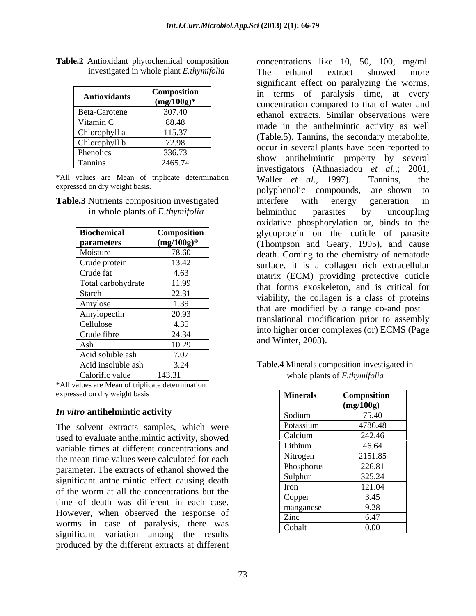| <b>Antioxidants</b> | <b>Composition</b><br>$(mg/100g)^*$ |
|---------------------|-------------------------------------|
| Beta-Carotene       | 307.40                              |
| Vitamin C           | 88.48                               |
| Chlorophyll a       | 115.37                              |
| Chlorophyll b       | 72.98                               |
| Phenolics           | 336.73                              |
| <b>Tannins</b>      | 2465.74                             |

**Table.2** Antioxidant phytochemical composition concentrations like 10, 50, 100, mg/ml.

| <b>Table.3</b> Nutrients composition investigated |
|---------------------------------------------------|
| in whole plants of <i>E.thymifolia</i>            |

| <b>Biochemical</b> | Composition   |
|--------------------|---------------|
| <b>parameters</b>  | $(mg/100g)^*$ |
| Moisture           | 78.60         |
| Crude protein      | 13.42         |
| Crude fat          | 4.63          |
| Total carbohydrate | 11.99         |
| Starch             | 22.31         |
| Amylose            | 1.39          |
| Amylopectin        | 20.93         |
| Cellulose          | 4.35          |
| Crude fibre        | 24.34         |
| Ash                | 10.29         |
| Acid soluble ash   | 7.07          |
| Acid insoluble ash | 3.24          |
| $CA = 1$           | 14221         |

\*All values are Mean of triplicate determination expressed on dry weight basis

#### *In vitro* **antihelmintic activity**

The solvent extracts samples, which were used to evaluate anthelmintic activity, showed variable times at different concentrations and the mean time values were calculated for each parameter. The extracts of ethanol showed the significant anthelmintic effect causing death of the worm at all the concentrations but the time of death was different in each case. However, when observed the response of worms in case of paralysis, there was significant variation among the results produced by the different extracts at different

 investigated in whole plant *E.thymifolia* Antioxidants **Composition** in terms of paralysis time, at every **(mg/100g)\*** concentration compared to that of water and Beta-Carotene 307.40 ethanol extracts. Similar observations were Vitamin C 88.48 made in the anthelmintic activity as well Chlorophyll a 115.37 (Table.5). Tannins, the secondary metabolite, Chlorophyll b 72.98 (Tasters). Tannins, the secondary metabolic,<br>
Dennis Reported to Phenolics 336.73 show antihelmintic property by several Tannins 2465.74  $\qquad$  show antinermine property by several \*All values are Mean of triplicate determination Waller et al., 1997). Tannins, the expressed on dry weight basis.<br>
polyphenolic compounds, are shown to **Table.3** Nutrients composition investigated interfere with energy generation in in whole plants of *E.thymifolia* belminthic parasites by uncoupling **Biochemical** Composition glycoprotein on the cuticle of parasite **parameters** (mg/100g)<sup>\*</sup> (Thompson and Geary, 1995), and cause Moisture 78.60 78.60 death. Coming to the chemistry of nematode Crude protein 13.42 surface, it is a collagen rich extracellular Crude fat 4.63 matrix (ECM) providing protective cuticle Total carbohydrate 11.99 that forms exoskeleton, and is critical for Starch  $22.31$  viability, the collagen is a class of proteins Amylose 1.39 that are modified by a range co-and post – Amylopectin 20.93 and the modification might be assembly  $\text{Cellulose}$  4.35  $\text{Lilab}$  and  $\text{Lilab}$  and  $\text{Cylge}$   $\text{Cylge}$   $\text{Cylge}$ Crude fibre  $24.34$   $\frac{1}{24.34}$   $\frac{1}{24.34}$   $\frac{1}{24.34}$   $\frac{1}{24.34}$   $\frac{1}{24.34}$   $\frac{1}{24.34}$   $\frac{1}{24.34}$   $\frac{1}{24.34}$   $\frac{1}{24.34}$   $\frac{1}{24.34}$   $\frac{1}{24.34}$   $\frac{1}{24.34}$   $\frac{1}{24.34}$   $\frac{1}{24.34}$   $\frac{1$ The ethanol extract showed more significant effect on paralyzing the worms, investigators (Athnasiadou *et al.,*; 2001; Waller *et al*., 1997). Tannins, the interfere with energy generation in helminthic parasites by uncoupling oxidative phosphorylation or, binds to the translational modification prior to assembly into higher order complexes (or) ECMS (Page and Winter, 2003).

#### Acid insoluble ash  $\begin{array}{|l} \hline \end{array}$  3.24 **Table.4** Minerals composition investigated in Calorific value  $\begin{array}{|c|c|c|c|c|} \hline \end{array}$  143.31 whole plants of *E.thymifolia* whole plants of *E.thymifolia*

| <b>Minerals</b> | <b>Composition</b> |
|-----------------|--------------------|
|                 | (mg/100g)          |
| Sodium          | 75.40              |
| Potassium       | 4786.48            |
| Calcium         | 242.46             |
| Lithium         | 46.64              |
| Nitrogen        | 2151.85            |
| Phosphorus      | 226.81             |
| Sulphur         | 325.24             |
| Iron            | 121.04             |
| Copper          | 3.45               |
| manganese       | 9.28               |
| Zinc            | 6.47               |
| Cobalt          | $0.00\,$           |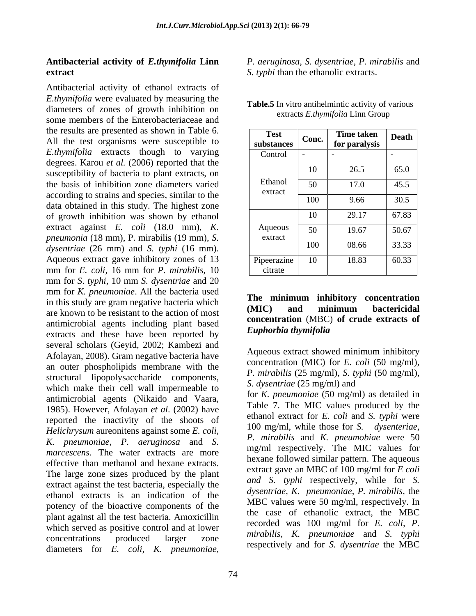# **Antibacterial activity of** *E.thymifolia* **Linn**

Antibacterial activity of ethanol extracts of *E.thymifolia* were evaluated by measuring the diameters of zones of growth inhibition on some members of the Enterobacteriaceae and the results are presented as shown in Table 6. All the test organisms were susceptible to *E.thymifolia* extracts though to varying degrees. Karou *et al.* (2006) reported that the susceptibility of bacteria to plant extracts, on the basis of inhibition zone diameters varied according to strains and species, similar to the data obtained in this study. The highest zone of growth inhibition was shown by ethanol extract against *E. coli* (18.0 mm), *K. pneumonia* (18 mm), P. mirabilis (19 mm), *S. dysentriae* (26 mm) and *S. typhi* (16 mm). Aqueous extract gave inhibitory zones of 13 mm for *E. coli*, 16 mm for *P. mirabilis*, 10 mm for *S*. *typhi,* 10 mm *S. dysentriae* and 20 mm for *K. pneumoniae*. All the bacteria used<br>**The minimum inhibitory concentration** in this study are gram negative bacteria which the infinitum infinitum infinitum bactericidal are known to be resistant to the action of most antimicrobial agents including plant based<br>extracts and those have been monetted by Euphorbia thymifolia extracts and these have been reported by several scholars (Geyid, 2002; Kambezi and Afolayan, 2008). Gram negative bacteria have an outer phospholipids membrane with the structural lipopolysaccharide components, which make their cell wall impermeable to antimicrobial agents (Nikaido and Vaara, 1985). However, Afolayan *et al*. (2002) have reported the inactivity of the shoots of  $100 \text{ mg/ml}$ , while those for S. dysenteriae, *Helichrysum* aureonitens against some *E. coli, K. pneumoniae, P. aeruginosa* and *S. marcescens.* The water extracts are more effective than methanol and hexane extracts. The large zone sizes produced by the plant extract against the test bacteria, especially the ethanol extracts is an indication of the potency of the bioactive components of the plant against all the test bacteria. Amoxicillin which served as positive control and at lower concentrations produced larger zone  $m_{\text{trav},k}$ ,  $\lambda$ , phermoniae and  $\lambda$ ,  $m_{\text{trav},k}$ diameters for *E. coli, K. pneumoniae,* 

**extract** S. typhi than the ethanolic extracts. *P. aeruginosa, S. dysentriae*, *P. mirabilis* and

| <b>Test</b><br>substances | Conc.                    | Time taken<br>for paralysis | <b>Death</b> |
|---------------------------|--------------------------|-----------------------------|--------------|
| Control                   | $\overline{\phantom{0}}$ | $\sim$                      | - 1          |
|                           | 10                       | 26.5                        | 65.0         |
| Ethanol<br>extract        | 50                       | 17.0                        | 45.5         |
|                           | 100                      | 9.66                        | 30.5         |
|                           | 10                       | 29.17                       | 67.83        |
| Aqueous<br>extract        | 50                       | 19.67                       | 50.67        |
|                           | 100                      | 08.66                       | 33.33        |
| Pipeerazine<br>citrate    | 10                       | 18.83                       | 60.33        |

**Table.5** In vitro antihelmintic activity of various extracts *E.thymifolia* Linn Group

#### **The minimum inhibitory concentration (MIC) and minimum bactericidal concentration** (MBC) **of crude extracts of** *Euphorbia thymifolia*

Aqueous extract showed minimum inhibitory concentration (MIC) for *E. coli* (50 mg/ml), *P. mirabilis* (25 mg/ml), *S. typhi* (50 mg/ml), *S. dysentriae* (25 mg/ml) and

for *K. pneumoniae* (50 mg/ml) as detailed in Table 7. The MIC values produced by the ethanol extract for *E. coli* and *S. typhi* were 100 mg/ml, while those for *S*. *P. mirabilis* and *K. pneumobiae* were 50 mg/ml respectively. The MIC values for hexane followed similar pattern. The aqueous extract gave an MBC of 100 mg/ml for *E coli and S. typhi* respectively*,* while for *S. dysentriae, K. pneumoniae*, *P. mirabilis,* the MBC values were 50 mg/ml, respectively. In the case of ethanolic extract, the MBC recorded was 100 mg/ml for *E. coli, P. mirabilis*, *K. pneumoniae* and *S. typhi* respectively and for *S. dysentriae* the MBC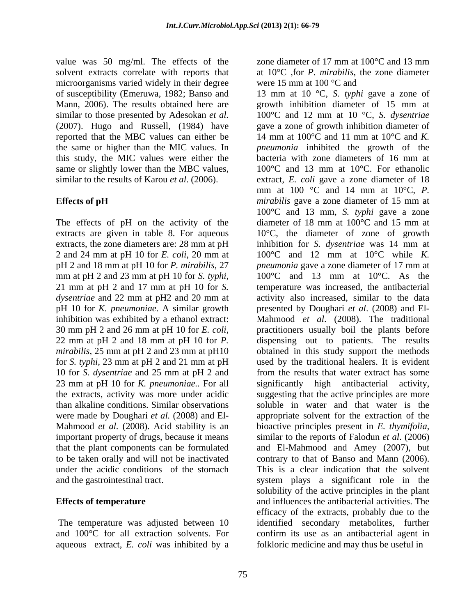value was 50 mg/ml. The effects of the zone diameter of 17 mm at  $100^{\circ}$ C and 13 mm solvent extracts correlate with reports that microorganisms varied widely in their degree were 15 mm at 100  $^{\circ}$ C and reported that the MBC values can either be this study, the MIC values were either the same or slightly lower than the MBC values,

extracts, the zone diameters are: 28 mm at pH were made by Doughari *et al.* (2008) and El- Mahmood *et al.* (2008). Acid stability is an bioactive principles present in E. thymifolia, important property of drugs, because it means similar to the reports of Falodun et al. (2006) to be taken orally and will not be inactivated

The temperature was adjusted between 10 and 100°C for all extraction solvents. For aqueous extract, *E. coli* was inhibited by a

zone diameter of 17 mm at 100°C and 13 mm at 10°C ,for *P. mirabilis*, the zone diameter were 15 mm at 100  $^{\circ}$ C and

of susceptibility (Emeruwa, 1982; Banso and 13 mm at 10 °C, *S. typhi* gave a zone of Mann, 2006). The results obtained here are growth inhibition diameter of 15 mm at similar to those presented by Adesokan *et al.* 100°C and 12 mm at 10 °C, *S. dysentriae* (2007). Hugo and Russell, (1984) have gave a zone of growth inhibition diameter of the same or higher than the MIC values. In *pneumonia* inhibited the growth of the similar to the results of Karou *et al*. (2006). extract, *E. coli* gave a zone diameter of 18 **Effects of pH**  *mirabilis* gave a zone diameter of 15 mm at The effects of pH on the activity of the diameter of 18 mm at 100°C and 15 mm at extracts are given in table 8. For aqueous 10°C, the diameter of zone of growth 2 and 24 mm at pH 10 for *E. coli*, 20 mm at 100°C and 12 mm at 10°C while *K.*  pH 2 and 18 mm at pH 10 for *P. mirabilis,* 27 *pneumonia* gave a zone diameter of 17 mm at mm at pH 2 and 23 mm at pH 10 for *S. typhi*,  $100^{\circ}$ C and 13 mm at 10<sup>o</sup>C. As the 21 mm at pH 2 and 17 mm at pH 10 for *S*. *iemperature was increased*, the antibacterial dysentriae and 22 mm at pH2 and 20 mm at activity also increased, similar to the data pH 10 for *K. pneumoniae*. A similar growth presented by Doughari *et al*. (2008) and El inhibition was exhibited by a ethanol extract: Mahmood *et al*. (2008). The traditional <sup>30</sup> mm pH <sup>2</sup> and <sup>26</sup> mm at pH <sup>10</sup> for *E. coli*, 22 mm at pH <sup>2</sup> and <sup>18</sup> mm at pH <sup>10</sup> for *P. mirabilis*, 25 mm at pH 2 and 23 mm at pH10 bobtained in this study support the methods for *S. typhi,* 23 mm at pH 2 and 21 mm at pH used by the traditional healers. It is evident 10 for *S. dysentriae* and 25 mm at pH 2 and from the results that water extract has some 23 mm at pH 10 for *K. pneumoniae..* For all significantly high antibacterial activity, the extracts, activity was more under acidic suggesting that the active principles are more than alkaline conditions. Similar observations soluble in water and that water is the that the plant components can be formulated and El-Mahmood and Amey (2007), but under the acidic conditions of the stomach This is a clear indication that the solvent and the gastrointestinal tract. system plays a significant role in the **Effects of temperature** and influences the antibacterial activities. The 14 mm at 100°C and 11 mm at 10°C and *K.*  bacteria with zone diameters of 16 mm at 100°C and 13 mm at 10°C. For ethanolic mm at 100 °C and 14 mm at 10°C, *P.*  100°C and 13 mm, *S. typhi* gave a zone inhibition for *S. dysentriae* was 14 mm at 100°C and 13 mm at 10°C. As the temperature was increased, the antibacterial practitioners usually boil the plants before dispensing out to patients. The results appropriate solvent for the extraction of the bioactive principles present in *E. thymifolia*, similar to the reports of Falodun *et al*. (2006) contrary to that of Banso and Mann (2006). solubility of the active principles in the plant efficacy of the extracts, probably due to the identified secondary metabolites, further confirm its use as an antibacterial agent in folkloric medicine and may thus be useful in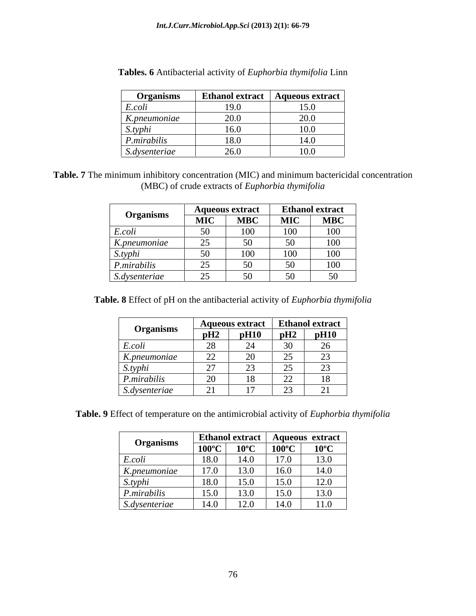| <b>Organisms</b> | <b>Ethanol extract</b> | Aqueous extract |
|------------------|------------------------|-----------------|
| E.coli           | 19.0                   | 15.0            |
| K.pneumoniae     | 20.0                   | 20.0            |
| S.typhi          | 16.0                   | 10.0            |
| P.mirabilis      | 18.0                   | $\cdots$        |
| S.dysenteriae    | 26.0                   | 10.0            |

| Tables. 6 Antibacterial activity of Euphorbia thymifolia Linn |  |
|---------------------------------------------------------------|--|
|                                                               |  |
|                                                               |  |

**Table. 7** The minimum inhibitory concentration (MIC) and minimum bactericidal concentration (MBC) of crude extracts of *Euphorbia thymifolia*

|                                                                     |                                           | <b>Aqueous extract</b> | <b>Ethanol extract</b> |                         |
|---------------------------------------------------------------------|-------------------------------------------|------------------------|------------------------|-------------------------|
| <b>Organisms</b><br>the contract of the contract of the contract of | <b>MIC</b>                                | <b>MBC</b>             | MIC                    | $\overline{\text{MBC}}$ |
| E.colt                                                              | $\sim$ $\sim$                             | 100                    | 10 <sup>o</sup><br>TOO | 100                     |
| K.pneumoniae                                                        | $\sim$ $\sim$                             | 50                     | 50                     | 100                     |
| S.typhi                                                             | $\sim$ $\sim$                             | 100                    | 100                    | 100                     |
| P.mirabilis                                                         | $\sim$ $\sim$<br>$\overline{\phantom{a}}$ | 50<br>$\cup$           | -50                    | 100                     |
| S.dysenteriae<br>$\sim$ $\sim$                                      | $\sim$ $\sim$                             | 50<br>v                | 50                     | 50                      |

**Table. 8** Effect of pH on the antibacterial activity of *Euphorbia thymifolia*

|                  |                                    | <b>Aqueous extract</b>                |                                           | <b>Ethanol extract</b> |
|------------------|------------------------------------|---------------------------------------|-------------------------------------------|------------------------|
| <b>Organisms</b> | pH2                                | pH10                                  | pH2                                       | pH10                   |
| E.coli           | 28                                 |                                       | $\sim$                                    | $\sim$<br>∠∪           |
| $K.$ pneumoniae  | $\sim$<br>$\overline{\phantom{a}}$ | $\bigcap$<br>$\overline{\phantom{0}}$ | $\sim$ $\sim$<br>$\overline{\phantom{m}}$ | $\sim$<br>ر_           |
| S.typhi          | $\sim$                             |                                       | $\sim$ $\sim$<br>ت                        | $\sim$<br>ت            |
| P.mirabilis      | $\sim$ $\sim$<br>$\omega$          | 10                                    | $\sim$<br>$\overline{\phantom{m}}$        | 10                     |
| S.dysenteriae    | $\sim$<br>$\sim$ 1                 |                                       | ت                                         | <u>_</u>               |

**Table. 9** Effect of temperature on the antimicrobial activity of *Euphorbia thymifolia*

|                  |                         |                                                    | Ethanol extract   Aqueous extract |                |
|------------------|-------------------------|----------------------------------------------------|-----------------------------------|----------------|
| <b>Organisms</b> | $100^{\circ}$ C         | $10^{\circ}$ C                                     | $100^{\circ}$ C                   | $10^{\circ}$ C |
| E.coli           |                         | 1.4 <sub>0</sub>                                   | 17 <sub>0</sub>                   | 13.0           |
| $K.$ pneumoniae  |                         | 13.0                                               | 16.0                              | 14.0           |
| S.typhi          |                         | $\mathbf{r} \in \mathbb{R}$<br>$\cdot \cdot \cdot$ | 15.0                              | 12.0           |
| P.mirabilis      | $1 \leq \Omega$<br>10.U | $\sim$ 0.000 $\sim$<br>13.0                        | 15.0<br>$\ddotsc$                 | 13.0           |
| S.dysenteriae    |                         | 10 <sub>0</sub><br>$\sim 0$                        | 14.0                              | 11.0           |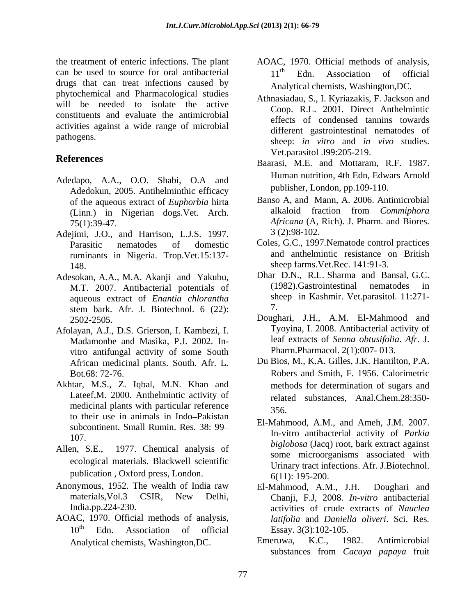the treatment of enteric infections. The plant AOAC, 1970. Official methods of analysis, can be used to source for oral antibacterial  $11<sup>th</sup>$  Edn. Association of official drugs that can treat infections caused by phytochemical and Pharmacological studies will be needed to isolate the active constituents and evaluate the antimicrobial activities against a wide range of microbial

- Adedapo, A.A., O.O. Shabi, O.A and Adedokun, 2005. Antihelminthic efficacy
- Adejimi, J.O., and Harrison, L.J.S. 1997. 3 (2):98-102. ruminants in Nigeria. Trop.Vet.15:137- 148. **Sheep farms.** Vet.Rec. 141:91-3.
- Adesokan, A.A., M.A. Akanji and Yakubu, Dhar D.N., R.L. Sharma and Bansal, G.C.<br>M.T. 2007 Antibacterial potentials of (1982). Gastrointestinal nematodes in M.T. 2007. Antibacterial potentials of aqueous extract of *Enantia chlorantha* sh<br>stem bark Afr I Biotechnol 6 (22): 7. stem bark. Afr. J. Biotechnol. 6 (22):
- Afolayan, A.J., D.S. Grierson, I. Kambezi, I. Madamonbe and Masika, P.J. 2002. In vitro antifungal activity of some South African medicinal plants. South. Afr. L*.*
- Akhtar, M.S., Z. Iqbal, M.N. Khan and Lateef,M. 2000. Anthelmintic activity of medicinal plants with particular reference 356. to their use in animals in Indo-Pakistan subcontinent. Small Rumin. Res. 38: 99
- Allen, S.E., 1977. Chemical analysis of ecological materials. Blackwell scientific publication, Oxford press, London.  $6(11)$ : 195-200.
- Anonymous, 1952. The wealth of India raw El-Mahmood, A.M., J.H. Doughari and
- AOAC, 1970. Official methods of analysis,
- 11<sup>th</sup> Edn. Association of official Analytical chemists, Washington,DC.
- pathogens.<br>
sheep: *in vitro* and *in vivo* studies. Athnasiadau, S., I. Kyriazakis, F. Jackson and Coop. R.L. 2001. Direct Anthelmintic effects of condensed tannins towards different gastrointestinal nematodes of Vet.parasitol .l99:205-219.
- **References** Baarasi, M.E. and Mottaram, R.F. 1987. Human nutrition, 4th Edn, Edwars Arnold publisher, London, pp.109-110.
	- of the aqueous extract of *Euphorbia* hirta Banso A, and Mann, A. 2006. Antimicrobial<br>(Linn.) in Nigerian dogs Vet Arch alkaloid fraction from *Commiphora* (Linn.) in Nigerian dogs.Vet. Arch. alkaloid fraction from *Commiphora*<br>75(1):39-47. *Africana* (A, Rich). J. Pharm. and Biores. Banso A, and Mann, A. 2006. Antimicrobial alkaloid fraction from *Commiphora Africana* (A, Rich). J. Pharm. and Biores. 3 (2):98-102.
	- Parasitic nematodes of domestic Coles, G.C., 1997. Nematode control practices and anthelmintic resistance on British
		- Dhar D.N., R.L. Sharma and Bansal, G.C. (1982).Gastrointestinal nematodes in sheep in Kashmir. Vet.parasitol. 11:271- 7.
	- 2502-2505. Doughari, J.H., A.M. El-Mahmood and Tyoyina, I. 2008. Antibacterial activity of leaf extracts of *Senna obtusifolia*. *Afr.* J. Pharm.Pharmacol. 2(1):007- 013.
	- Bot.68: 72-76. Robers and Smith, F. 1956. Calorimetric Du Bios, M., K.A. Gilles, J.K. Hamilton, P.A. methods for determination of sugars and related substances, Anal.Chem.28:350- 356.
	- 107.<br>**biglobosa** (Jacq) root, bark extract against El-Mahmood, A.M., and Ameh, J.M. 2007. In-vitro antibacterial activity of *Parkia*  some microorganisms associated with Urinary tract infections. Afr. J.Biotechnol.
	- materials,Vol.3 CSIR, New Delhi, Chanji, F.J, 2008. *In-vitro* antibacterial India.pp.224-230. activities of crude extracts of *Nauclea*  10<sup>th</sup> Edn. Association of official Essay. 3(3):102-105. El-Mahmood, A.M., J.H. Doughari and *latifolia* and *Daniella oliveri*. Sci. Res*.* Essay. 3(3):102-105.
	- Analytical chemists, Washington, DC. Emeruwa, K.C., 1982. Antimicrobial Emeruwa, K.C., 1982. Antimicrobial substances from *Cacaya papaya* fruit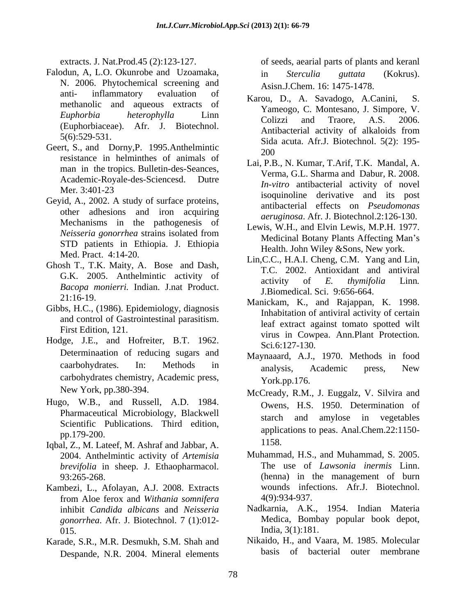- Falodun, A, L.O. Okunrobe and Uzoamaka,  $\qquad \qquad$  in Sterculia euttata (Kokrus). N. 2006. Phytochemical screening and anti- inflammatory evaluation of  $V_{\text{arcou}}$  D  $\Lambda$  Savedogo  $\Lambda$  Conini S
- Geert, S., and Dorny, P. 1995. Anthelmintic  $\frac{50}{200}$ resistance in helminthes of animals of man in the tropics. Bulletin-des-Seances*,* Academic-Royale-des*-*Sciencesd. Dutre
- Geyid, A., 2002. A study of surface proteins, other adhesions and iron acquiring Mechanisms in the pathogenesis of STD patients in Ethiopia. J. Ethiopia
- Ghosh T., T.K. Maity, A. Bose and Dash, *Bacopa monierri.* Indian. J.nat Product.<br>21:16-19. **21:16-19. Example 10:21:16-19. Monicker K** and Peignan K 1008
- Gibbs, H.C., (1986). Epidemiology, diagnosis and control of Gastrointestinal parasitism.
- Hodge, J.E., and Hofreiter, B.T. 1962. <br>Sci.6:127-130. Determinaation of reducing sugars and carbohydrates chemistry, Academic press, York.pp.176.
- Hugo, W.B., and Russell, A.D. 1984. Scientific Publications. Third edition,
- Iqbal, Z., M. Lateef, M. Ashraf and Jabbar, A. 1158. 2004. Anthelmintic activity of *Artemisia brevifolia* in sheep. J. Ethaopharmacol.
- Kambezi, L., Afolayan, A.J. 2008. Extracts wounds infections. Afr.J. Biotechnol.<br>
from Aloe ferox and Withania somnifera 4(9):934-937. from Aloe ferox and *Withania somnifera* inhibit *Candida albicans* and *Neisseria gonorrhea*. Afr. J. Biotechnol. 7 (1):012-
- Karade, S.R., M.R. Desmukh, S.M. Shah and Despande, N.R. 2004. Mineral elements

extracts. J. Nat.Prod.45 (2):123-127. of seeds, aearial parts of plants and keranl in *Sterculia guttata* (Kokrus). Asisn.J.Chem. 16: 1475-1478.

- anti- inflaminatory evaluation of Karou, D., A. Savadogo, A.Canini, S.<br>methanolic and aqueous extracts of M. C.M. L. S. *Euphorbia heterophylla* Linn Euphorbiaceae). Afr. J. Biotechnol. Colizzi and Traore, A.S. 2006.<br>
5(6):529-531. Since and Subsection Colizzi and Traore, A.S. 2006.<br>
5(6):529-531. Karou, D., A. Savadogo, A.Canini, Yameogo, C. Montesano, J. Simpore, V. Colizzi and Traore, A.S. 2006. Antibacterial activity of alkaloids from Sida acuta. Afr.J. Biotechnol. 5(2): 195- 200
- Mer. 3:401-23 Lai, P.B., N. Kumar, T.Arif, T.K. Mandal, A. Verma, G.L. Sharma and Dabur, R. 2008. *In-vitro* antibacterial activity of novel isoquinoline derivative and its post antibacterial effects on *Pseudomonas aeruginosa*. Afr. J. Biotechnol.2:126-130.
- *Neisseria gonorrhea* strains isolated from *Medicinal Petery Plants, Affecting Man's* Lewis, W.H., and Elvin Lewis, M.P.H. 1977. Medicinal Botany Plants Affecting Man's Health. John Wiley &Sons, New york.
- Med. Pract. 4:14-20.<br>
Lin,C.C., H.A.I. Cheng, C.M. Yang and Lin, G.K. 2005. Anthelmintic activity of the settlement of the theorem and antivirum. T.C. 2002. Antioxidant and antiviral activity of *E. thymifolia* Linn*.* J.Biomedical. Sci. 9:656-664.
- First Edition, 121.<br>
virus in Cowpea. Ann.Plant Protection. Manickam, K., and Rajappan, K. 1998. Inhabitation of antiviral activity of certain leaf extract against tomato spotted wilt Sci*.*6:127-130.
- caarbohydrates. In: Methods in analysis Academic press New Maynaaard, A.J., 1970. Methods in food analysis, Academic press, New York.pp.176.
- New York, pp.380-394. McCready, R.M., J. Euggalz, V. Silvira and Pharmaceutical Microbiology, Blackwell starch and amylose in vegetables pp.179-200. applications to peas. Anal.Chem.22:1150- Owens, H.S. 1950. Determination of starch and amylose in vegetables 1158.
- 93:265-268. (henna) in the management of burn Muhammad, H.S., and Muhammad, S. 2005. The use of *Lawsonia inermis* Linn. wounds infections. Afr.J. Biotechnol.<br>4(9):934-937.
- 015. India, 3(1):181. Nadkarnia, A.K., 1954. Indian Materia Medica, Bombay popular book depot,
	- Nikaido, H., and Vaara, M. 1985. Molecular basis of bacterial outer membrane